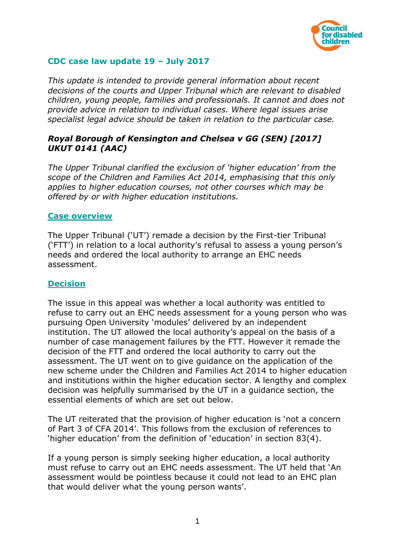

# **CDC case law update 19 – July 2017**

*This update is intended to provide general information about recent decisions of the courts and Upper Tribunal which are relevant to disabled children, young people, families and professionals. It cannot and does not provide advice in relation to individual cases. Where legal issues arise specialist legal advice should be taken in relation to the particular case.*

# *Royal Borough of Kensington and Chelsea v GG (SEN) [2017] UKUT 0141 (AAC)*

*The Upper Tribunal clarified the exclusion of 'higher education' from the scope of the Children and Families Act 2014, emphasising that this only applies to higher education courses, not other courses which may be offered by or with higher education institutions.* 

#### **Case overview**

The Upper Tribunal ('UT') remade a decision by the First-tier Tribunal ('FTT') in relation to a local authority's refusal to assess a young person's needs and ordered the local authority to arrange an EHC needs assessment.

### **Decision**

The issue in this appeal was whether a local authority was entitled to refuse to carry out an EHC needs assessment for a young person who was pursuing Open University 'modules' delivered by an independent institution. The UT allowed the local authority's appeal on the basis of a number of case management failures by the FTT. However it remade the decision of the FTT and ordered the local authority to carry out the assessment. The UT went on to give guidance on the application of the new scheme under the Children and Families Act 2014 to higher education and institutions within the higher education sector. A lengthy and complex decision was helpfully summarised by the UT in a guidance section, the essential elements of which are set out below.

The UT reiterated that the provision of higher education is 'not a concern of Part 3 of CFA 2014'. This follows from the exclusion of references to 'higher education' from the definition of 'education' in section 83(4).

If a young person is simply seeking higher education, a local authority must refuse to carry out an EHC needs assessment. The UT held that 'An assessment would be pointless because it could not lead to an EHC plan that would deliver what the young person wants'.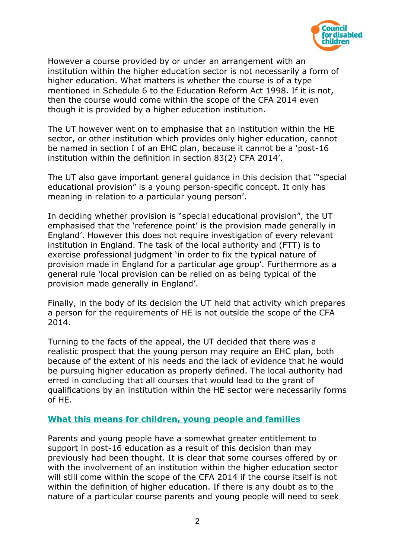

However a course provided by or under an arrangement with an institution within the higher education sector is not necessarily a form of higher education. What matters is whether the course is of a type mentioned in Schedule 6 to the Education Reform Act 1998. If it is not, then the course would come within the scope of the CFA 2014 even though it is provided by a higher education institution.

The UT however went on to emphasise that an institution within the HE sector, or other institution which provides only higher education, cannot be named in section I of an EHC plan, because it cannot be a 'post-16 institution within the definition in section 83(2) CFA 2014'.

The UT also gave important general guidance in this decision that '"special educational provision" is a young person-specific concept. It only has meaning in relation to a particular young person'.

In deciding whether provision is "special educational provision", the UT emphasised that the 'reference point' is the provision made generally in England'. However this does not require investigation of every relevant institution in England. The task of the local authority and (FTT) is to exercise professional judgment 'in order to fix the typical nature of provision made in England for a particular age group'. Furthermore as a general rule 'local provision can be relied on as being typical of the provision made generally in England'.

Finally, in the body of its decision the UT held that activity which prepares a person for the requirements of HE is not outside the scope of the CFA 2014.

Turning to the facts of the appeal, the UT decided that there was a realistic prospect that the young person may require an EHC plan, both because of the extent of his needs and the lack of evidence that he would be pursuing higher education as properly defined. The local authority had erred in concluding that all courses that would lead to the grant of qualifications by an institution within the HE sector were necessarily forms of HE.

### **What this means for children, young people and families**

Parents and young people have a somewhat greater entitlement to support in post-16 education as a result of this decision than may previously had been thought. It is clear that some courses offered by or with the involvement of an institution within the higher education sector will still come within the scope of the CFA 2014 if the course itself is not within the definition of higher education. If there is any doubt as to the nature of a particular course parents and young people will need to seek